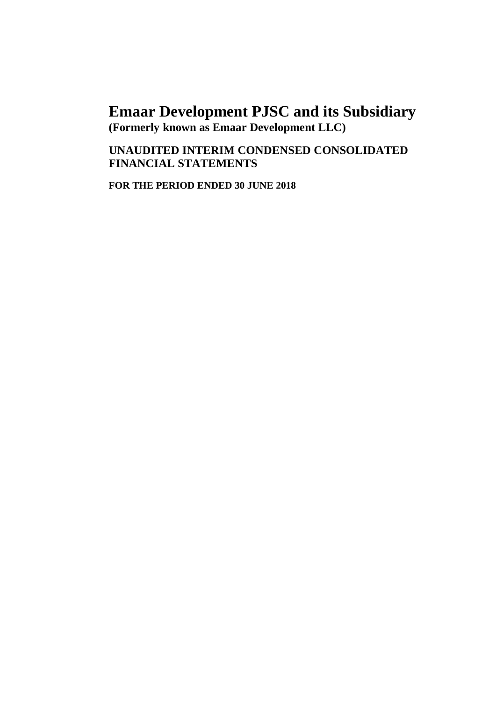**UNAUDITED INTERIM CONDENSED CONSOLIDATED FINANCIAL STATEMENTS**

**FOR THE PERIOD ENDED 30 JUNE 2018**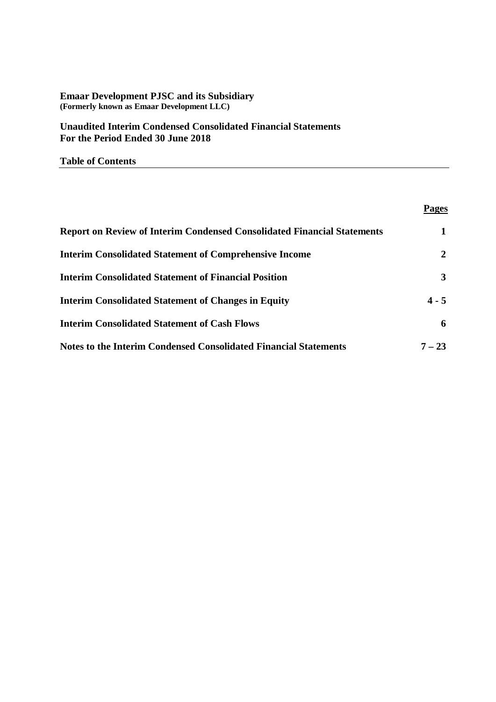**Unaudited Interim Condensed Consolidated Financial Statements For the Period Ended 30 June 2018**

**Table of Contents**

## **Pages**

| <b>Report on Review of Interim Condensed Consolidated Financial Statements</b> | 1        |
|--------------------------------------------------------------------------------|----------|
| <b>Interim Consolidated Statement of Comprehensive Income</b>                  | 2        |
| <b>Interim Consolidated Statement of Financial Position</b>                    | 3        |
| <b>Interim Consolidated Statement of Changes in Equity</b>                     | $4 - 5$  |
| <b>Interim Consolidated Statement of Cash Flows</b>                            | 6        |
| <b>Notes to the Interim Condensed Consolidated Financial Statements</b>        | $7 - 23$ |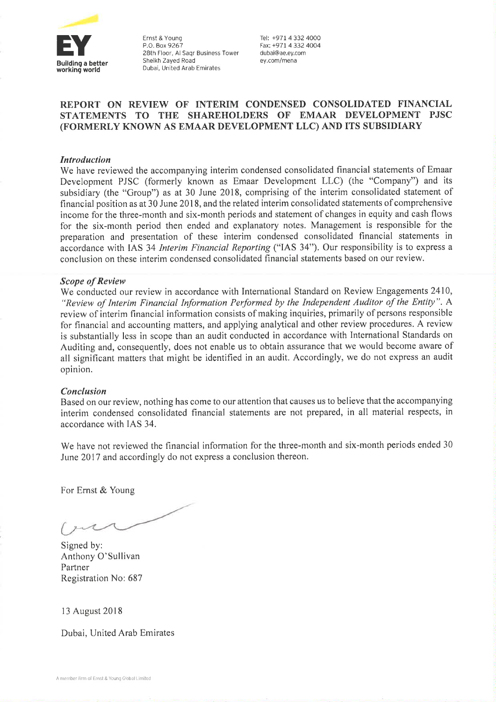

Ernst & Young P O Box 9267 28th Floor, Al Sagr Business Tower Sheikh Zayed Road Dubai, United Arab Emirates

Tel: +971 4 332 4000 Fax: +971 4 332 4004 dubaj@ae.ev.com ey.com/mena

## REPORT ON REVIEW OF INTERIM CONDENSED CONSOLIDATED FINANCIAL STATEMENTS TO THE SHAREHOLDERS OF EMAAR DEVELOPMENT PJSC (FORMERLY KNOWN AS EMAAR DEVELOPMENT LLC) AND ITS SUBSIDIARY

## **Introduction**

We have reviewed the accompanying interim condensed consolidated financial statements of Emaar Development PJSC (formerly known as Emaar Development LLC) (the "Company") and its subsidiary (the "Group") as at 30 June 2018, comprising of the interim consolidated statement of financial position as at 30 June 2018, and the related interim consolidated statements of comprehensive income for the three-month and six-month periods and statement of changes in equity and cash flows for the six-month period then ended and explanatory notes. Management is responsible for the preparation and presentation of these interim condensed consolidated financial statements in accordance with IAS 34 Interim Financial Reporting ("IAS 34"). Our responsibility is to express a conclusion on these interim condensed consolidated financial statements based on our review.

#### **Scope of Review**

We conducted our review in accordance with International Standard on Review Engagements 2410, "Review of Interim Financial Information Performed by the Independent Auditor of the Entity". A review of interim financial information consists of making inquiries, primarily of persons responsible for financial and accounting matters, and applying analytical and other review procedures. A review is substantially less in scope than an audit conducted in accordance with International Standards on Auditing and, consequently, does not enable us to obtain assurance that we would become aware of all significant matters that might be identified in an audit. Accordingly, we do not express an audit opinion.

#### Conclusion

Based on our review, nothing has come to our attention that causes us to believe that the accompanying interim condensed consolidated financial statements are not prepared, in all material respects, in accordance with IAS 34.

We have not reviewed the financial information for the three-month and six-month periods ended 30 June 2017 and accordingly do not express a conclusion thereon.

For Ernst & Young

Signed by: Anthony O'Sullivan Partner Registration No: 687

13 August 2018

Dubai, United Arab Emirates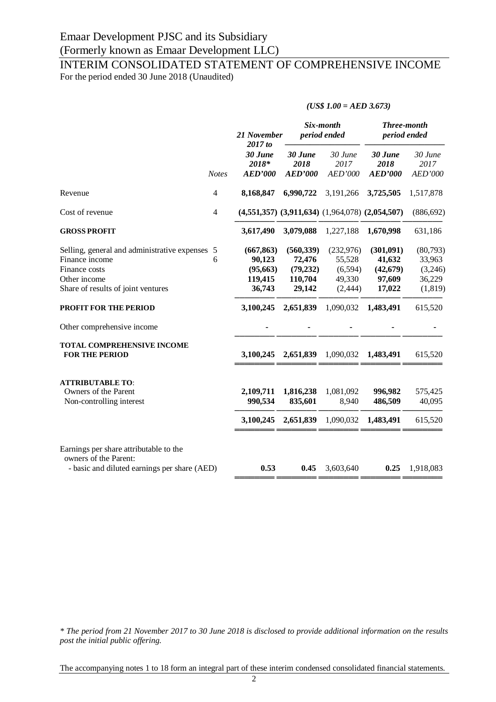## INTERIM CONSOLIDATED STATEMENT OF COMPREHENSIVE INCOME For the period ended 30 June 2018 (Unaudited)

### *(US\$ 1.00 = AED 3.673)*

|                |                                                                                              |                                   |                              | Three-month<br>period ended                          |                                                                                              |
|----------------|----------------------------------------------------------------------------------------------|-----------------------------------|------------------------------|------------------------------------------------------|----------------------------------------------------------------------------------------------|
| <b>Notes</b>   | 30 June<br>2018*<br><b>AED'000</b>                                                           | 30 June<br>2018<br><b>AED'000</b> | $30$ June<br>2017<br>AED'000 | 30 June<br>2018<br><b>AED'000</b>                    | $30$ June<br>2017<br>AED'000                                                                 |
| $\overline{4}$ | 8,168,847                                                                                    | 6,990,722                         | 3,191,266                    | 3,725,505                                            | 1,517,878                                                                                    |
| $\overline{4}$ |                                                                                              |                                   |                              |                                                      | (886, 692)                                                                                   |
|                | 3,617,490                                                                                    | 3,079,088                         | 1,227,188                    | 1,670,998                                            | 631,186                                                                                      |
| 5<br>6         | (667, 863)<br>90,123<br>(95, 663)<br>119,415<br>36,743                                       | 72,476<br>110,704<br>29,142       | 55,528<br>49,330             | (301,091)<br>41,632<br>(42, 679)<br>97,609<br>17,022 | (80,793)<br>33,963<br>(3,246)<br>36,229<br>(1, 819)                                          |
|                | 3,100,245                                                                                    | 2,651,839                         | 1,090,032                    | 1,483,491                                            | 615,520                                                                                      |
|                |                                                                                              |                                   |                              |                                                      |                                                                                              |
|                | 3,100,245                                                                                    | 2,651,839                         | 1,090,032                    | 1,483,491                                            | 615,520                                                                                      |
|                | 2,109,711<br>990,534                                                                         | 1,816,238<br>835,601              | 1,081,092<br>8,940           | 996,982<br>486,509                                   | 575,425<br>40,095                                                                            |
|                | 3,100,245                                                                                    | 2,651,839                         | 1,090,032                    | 1,483,491                                            | 615,520                                                                                      |
|                | 0.53                                                                                         | 0.45                              | 3,603,640                    | 0.25                                                 | 1,918,083                                                                                    |
|                | Selling, general and administrative expenses<br>- basic and diluted earnings per share (AED) | 2017 to                           | 21 November                  | Six-month<br>period ended<br>(560, 339)<br>(79, 232) | $(4,551,357)$ $(3,911,634)$ $(1,964,078)$ $(2,054,507)$<br>(232,976)<br>(6, 594)<br>(2, 444) |

*\* The period from 21 November 2017 to 30 June 2018 is disclosed to provide additional information on the results post the initial public offering.*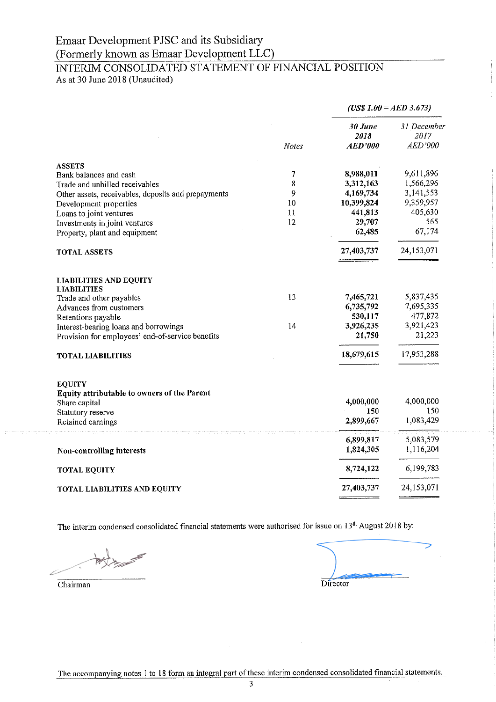## INTERIM CONSOLIDATED STATEMENT OF FINANCIAL POSITION As at 30 June 2018 (Unaudited)

|                                                                                           |              | $(US$ 1.00 = AED 3.673)$          |                                |  |
|-------------------------------------------------------------------------------------------|--------------|-----------------------------------|--------------------------------|--|
|                                                                                           | <b>Notes</b> | 30 June<br>2018<br><b>AED'000</b> | 31 December<br>2017<br>AED'000 |  |
| ASSETS                                                                                    |              |                                   |                                |  |
| Bank balances and cash                                                                    | 7            | 8,988,011                         | 9,611,896                      |  |
| Trade and unbilled receivables                                                            | 8            | 3,312,163                         | 1,566,296                      |  |
| Other assets, receivables, deposits and prepayments                                       | 9            | 4,169,734                         | 3,141,553                      |  |
| Development properties                                                                    | 10           | 10,399,824                        | 9,359,957                      |  |
| Loans to joint ventures                                                                   | 11           | 441,813                           | 405,630                        |  |
| Investments in joint ventures                                                             | 12           | 29,707                            | 565                            |  |
| Property, plant and equipment                                                             |              | 62,485                            | 67,174                         |  |
| <b>TOTAL ASSETS</b>                                                                       |              | 27,403,737                        | 24,153,071                     |  |
| <b>LIABILITIES AND EQUITY</b>                                                             |              |                                   |                                |  |
| LIABILITIES                                                                               | 13           | 7,465,721                         | 5,837,435                      |  |
| Trade and other payables                                                                  |              | 6,735,792                         | 7,695,335                      |  |
| Advances from customers<br>Retentions payable                                             |              | 530,117                           | 477,872                        |  |
|                                                                                           | 14           | 3,926,235                         | 3,921,423                      |  |
| Interest-bearing loans and borrowings<br>Provision for employees' end-of-service benefits |              | 21,750                            | 21,223                         |  |
| <b>TOTAL LIABILITIES</b>                                                                  |              | 18,679,615                        | 17,953,288                     |  |
| <b>EQUITY</b><br><b>Equity attributable to owners of the Parent</b>                       |              |                                   |                                |  |
| Share capital                                                                             |              | 4,000,000                         | 4,000,000                      |  |
| Statutory reserve                                                                         |              | 150                               | 150                            |  |
| Retained earnings                                                                         |              | 2,899,667                         | 1,083,429                      |  |
|                                                                                           |              | 6,899,817                         | 5,083,579                      |  |
| Non-controlling interests                                                                 |              | 1,824,305                         | 1,116,204                      |  |
| <b>TOTAL EQUITY</b>                                                                       |              | 8,724,122                         | 6,199,783                      |  |
| TOTAL LIABILITIES AND EQUITY                                                              |              | 27,403,737                        | 24,153,071                     |  |

The interim condensed consolidated financial statements were authorised for issue on 13<sup>th</sup> August 2018 by:

Chairman

Director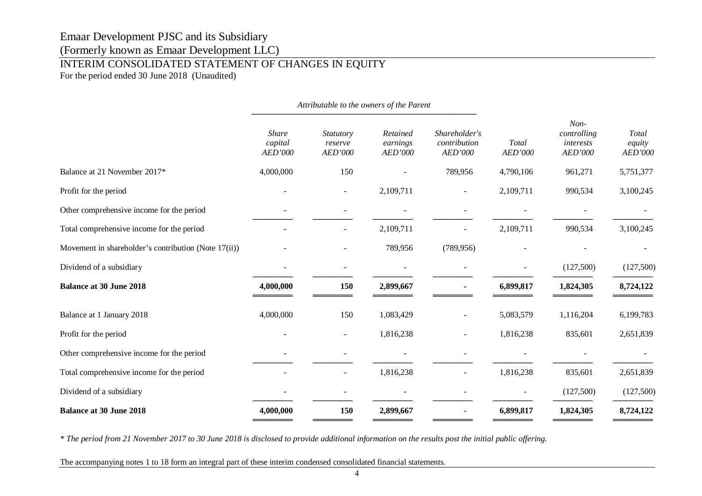# Emaar Development PJSC and its Subsidiary

(Formerly known as Emaar Development LLC)

## INTERIM CONSOLIDATED STATEMENT OF CHANGES IN EQUITY

For the period ended 30 June 2018 (Unaudited)

| Attributable to the owners of the Parent |                                 |                                 |                                          |                          |                                             |                                   |
|------------------------------------------|---------------------------------|---------------------------------|------------------------------------------|--------------------------|---------------------------------------------|-----------------------------------|
| <b>Share</b><br>capital<br>AED'000       | Statutory<br>reserve<br>AED'000 | Retained<br>earnings<br>AED'000 | Shareholder's<br>contribution<br>AED'000 | Total<br>AED'000         | Non-<br>controlling<br>interests<br>AED'000 | <b>Total</b><br>equity<br>AED'000 |
| 4,000,000                                | 150                             |                                 | 789,956                                  | 4,790,106                | 961,271                                     | 5,751,377                         |
|                                          | $\blacksquare$                  | 2,109,711                       | $\blacksquare$                           | 2,109,711                | 990,534                                     | 3,100,245                         |
|                                          |                                 |                                 |                                          |                          |                                             |                                   |
|                                          |                                 | 2,109,711                       |                                          | 2,109,711                | 990,534                                     | 3,100,245                         |
|                                          |                                 | 789,956                         | (789, 956)                               |                          |                                             |                                   |
| ٠                                        |                                 | $\overline{\phantom{0}}$        |                                          | $\overline{\phantom{a}}$ | (127,500)                                   | (127,500)                         |
| 4,000,000                                | 150                             | 2,899,667                       |                                          | 6,899,817                | 1,824,305                                   | 8,724,122                         |
| 4,000,000                                | 150                             | 1,083,429                       |                                          | 5,083,579                | 1,116,204                                   | 6,199,783                         |
|                                          |                                 | 1,816,238                       |                                          | 1,816,238                | 835,601                                     | 2,651,839                         |
|                                          |                                 |                                 |                                          |                          |                                             |                                   |
|                                          | $\blacksquare$                  | 1,816,238                       |                                          | 1,816,238                | 835,601                                     | 2,651,839                         |
|                                          |                                 |                                 |                                          |                          | (127,500)                                   | (127,500)                         |
| 4,000,000                                | 150                             | 2,899,667                       |                                          | 6,899,817                | 1,824,305                                   | 8,724,122                         |
|                                          |                                 |                                 |                                          |                          |                                             |                                   |

*\* The period from 21 November 2017 to 30 June 2018 is disclosed to provide additional information on the results post the initial public offering.*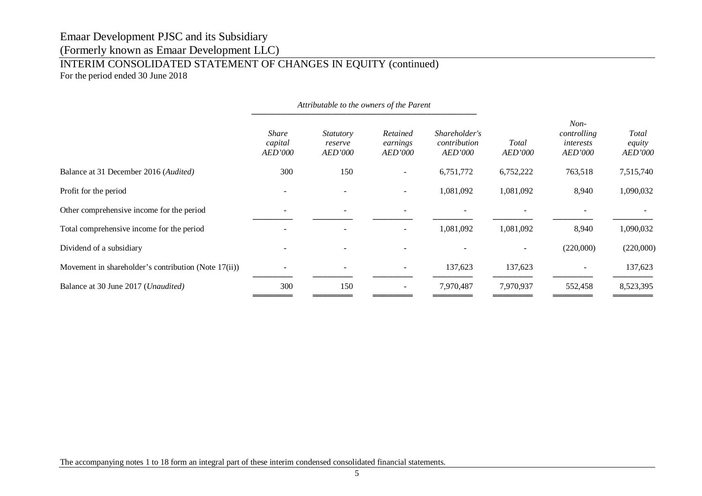# INTERIM CONSOLIDATED STATEMENT OF CHANGES IN EQUITY (continued)

For the period ended 30 June 2018

|                                                      | Attributable to the owners of the Parent  |                                        |                                        |                                                 |                         |                                                      |                                   |
|------------------------------------------------------|-------------------------------------------|----------------------------------------|----------------------------------------|-------------------------------------------------|-------------------------|------------------------------------------------------|-----------------------------------|
|                                                      | <b>Share</b><br>capital<br><b>AED'000</b> | <i>Statutory</i><br>reserve<br>AED'000 | Retained<br>earnings<br><i>AED'000</i> | Shareholder's<br>contribution<br><i>AED'000</i> | Total<br><b>AED'000</b> | $Non-$<br>controlling<br>interests<br><b>AED'000</b> | Total<br>equity<br><b>AED'000</b> |
| Balance at 31 December 2016 (Audited)                | 300                                       | 150                                    | ٠                                      | 6,751,772                                       | 6,752,222               | 763,518                                              | 7,515,740                         |
| Profit for the period                                |                                           |                                        | $\overline{\phantom{a}}$               | 1,081,092                                       | 1,081,092               | 8,940                                                | 1,090,032                         |
| Other comprehensive income for the period            |                                           |                                        |                                        |                                                 |                         |                                                      |                                   |
| Total comprehensive income for the period            | $\overline{\phantom{a}}$                  | $\overline{\phantom{a}}$               | $\overline{\phantom{a}}$               | 1,081,092                                       | 1,081,092               | 8,940                                                | 1,090,032                         |
| Dividend of a subsidiary                             |                                           |                                        |                                        |                                                 | $\qquad \qquad -$       | (220,000)                                            | (220,000)                         |
| Movement in shareholder's contribution (Note 17(ii)) | $\overline{\phantom{a}}$                  |                                        | $\overline{\phantom{a}}$               | 137,623                                         | 137,623                 | $\overline{\phantom{a}}$                             | 137,623                           |
| Balance at 30 June 2017 (Unaudited)                  | 300                                       | 150                                    | $\overline{\phantom{a}}$               | 7,970,487                                       | 7,970,937               | 552,458                                              | 8,523,395                         |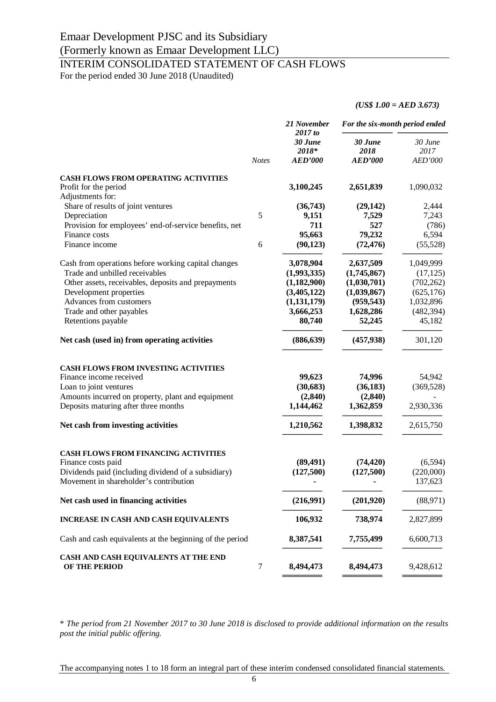## INTERIM CONSOLIDATED STATEMENT OF CASH FLOWS

For the period ended 30 June 2018 (Unaudited)

#### *(US\$ 1.00 = AED 3.673)*

|                                                          |              | 21 November<br>2017 to             | For the six-month period ended    |                              |
|----------------------------------------------------------|--------------|------------------------------------|-----------------------------------|------------------------------|
|                                                          | <b>Notes</b> | 30 June<br>2018*<br><b>AED'000</b> | 30 June<br>2018<br><b>AED'000</b> | $30$ June<br>2017<br>AED'000 |
| <b>CASH FLOWS FROM OPERATING ACTIVITIES</b>              |              |                                    |                                   |                              |
| Profit for the period                                    |              | 3,100,245                          | 2,651,839                         | 1,090,032                    |
| Adjustments for:<br>Share of results of joint ventures   |              | (36,743)                           | (29, 142)                         | 2,444                        |
| Depreciation                                             | 5            | 9,151                              | 7,529                             | 7,243                        |
| Provision for employees' end-of-service benefits, net    |              | 711                                | 527                               | (786)                        |
| Finance costs                                            |              | 95,663                             | 79,232                            | 6,594                        |
| Finance income                                           | 6            | (90, 123)                          | (72, 476)                         | (55, 528)                    |
| Cash from operations before working capital changes      |              | 3,078,904                          | 2,637,509                         | 1,049,999                    |
| Trade and unbilled receivables                           |              | (1,993,335)                        | (1,745,867)                       | (17, 125)                    |
| Other assets, receivables, deposits and prepayments      |              | (1, 182, 900)                      | (1,030,701)                       | (702, 262)                   |
| Development properties                                   |              | (3,405,122)                        | (1,039,867)                       | (625, 176)                   |
| Advances from customers<br>Trade and other payables      |              | (1, 131, 179)<br>3,666,253         | (959, 543)<br>1,628,286           | 1,032,896<br>(482, 394)      |
| Retentions payable                                       |              | 80,740                             | 52,245                            | 45,182                       |
| Net cash (used in) from operating activities             |              | (886, 639)                         | (457, 938)                        | 301,120                      |
| <b>CASH FLOWS FROM INVESTING ACTIVITIES</b>              |              |                                    |                                   |                              |
| Finance income received                                  |              | 99,623                             | 74,996                            | 54,942                       |
| Loan to joint ventures                                   |              | (30,683)                           | (36, 183)                         | (369, 528)                   |
| Amounts incurred on property, plant and equipment        |              | (2,840)                            | (2,840)                           |                              |
| Deposits maturing after three months                     |              | 1,144,462                          | 1,362,859                         | 2,930,336                    |
| Net cash from investing activities                       |              | 1,210,562                          | 1,398,832                         | 2,615,750                    |
| <b>CASH FLOWS FROM FINANCING ACTIVITIES</b>              |              |                                    |                                   |                              |
| Finance costs paid                                       |              | (89, 491)                          | (74, 420)                         | (6, 594)                     |
| Dividends paid (including dividend of a subsidiary)      |              | (127,500)                          | (127,500)                         | (220,000)                    |
| Movement in shareholder's contribution                   |              |                                    |                                   | 137,623                      |
| Net cash used in financing activities                    |              | (216,991)                          | (201,920)                         | (88,971)                     |
| <b>INCREASE IN CASH AND CASH EQUIVALENTS</b>             |              | 106,932                            | 738,974                           | 2,827,899                    |
| Cash and cash equivalents at the beginning of the period |              | 8,387,541                          | 7,755,499                         | 6,600,713                    |
| CASH AND CASH EQUIVALENTS AT THE END<br>OF THE PERIOD    | 7            | 8,494,473                          | 8,494,473                         | 9,428,612                    |
|                                                          |              |                                    |                                   |                              |

\* *The period from 21 November 2017 to 30 June 2018 is disclosed to provide additional information on the results post the initial public offering.*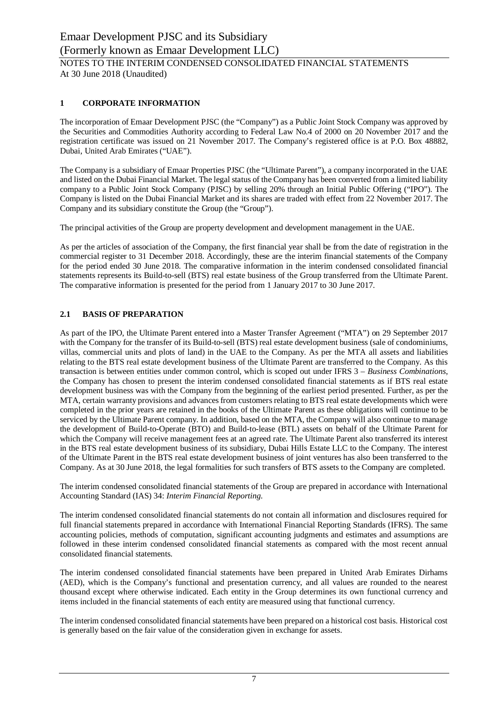## **1 CORPORATE INFORMATION**

The incorporation of Emaar Development PJSC (the "Company") as a Public Joint Stock Company was approved by the Securities and Commodities Authority according to Federal Law No.4 of 2000 on 20 November 2017 and the registration certificate was issued on 21 November 2017. The Company's registered office is at P.O. Box 48882, Dubai, United Arab Emirates ("UAE").

The Company is a subsidiary of Emaar Properties PJSC (the "Ultimate Parent"), a company incorporated in the UAE and listed on the Dubai Financial Market. The legal status of the Company has been converted from a limited liability company to a Public Joint Stock Company (PJSC) by selling 20% through an Initial Public Offering ("IPO"). The Company is listed on the Dubai Financial Market and its shares are traded with effect from 22 November 2017. The Company and its subsidiary constitute the Group (the "Group").

The principal activities of the Group are property development and development management in the UAE.

As per the articles of association of the Company, the first financial year shall be from the date of registration in the commercial register to 31 December 2018. Accordingly, these are the interim financial statements of the Company for the period ended 30 June 2018. The comparative information in the interim condensed consolidated financial statements represents its Build-to-sell (BTS) real estate business of the Group transferred from the Ultimate Parent. The comparative information is presented for the period from 1 January 2017 to 30 June 2017.

## **2.1 BASIS OF PREPARATION**

As part of the IPO, the Ultimate Parent entered into a Master Transfer Agreement ("MTA") on 29 September 2017 with the Company for the transfer of its Build-to-sell (BTS) real estate development business (sale of condominiums, villas, commercial units and plots of land) in the UAE to the Company. As per the MTA all assets and liabilities relating to the BTS real estate development business of the Ultimate Parent are transferred to the Company. As this transaction is between entities under common control, which is scoped out under IFRS 3 – *Business Combinations*, the Company has chosen to present the interim condensed consolidated financial statements as if BTS real estate development business was with the Company from the beginning of the earliest period presented. Further, as per the MTA, certain warranty provisions and advances from customers relating to BTS real estate developments which were completed in the prior years are retained in the books of the Ultimate Parent as these obligations will continue to be serviced by the Ultimate Parent company. In addition, based on the MTA, the Company will also continue to manage the development of Build-to-Operate (BTO) and Build-to-lease (BTL) assets on behalf of the Ultimate Parent for which the Company will receive management fees at an agreed rate. The Ultimate Parent also transferred its interest in the BTS real estate development business of its subsidiary, Dubai Hills Estate LLC to the Company. The interest of the Ultimate Parent in the BTS real estate development business of joint ventures has also been transferred to the Company. As at 30 June 2018, the legal formalities for such transfers of BTS assets to the Company are completed.

The interim condensed consolidated financial statements of the Group are prepared in accordance with International Accounting Standard (IAS) 34: *Interim Financial Reporting.*

The interim condensed consolidated financial statements do not contain all information and disclosures required for full financial statements prepared in accordance with International Financial Reporting Standards (IFRS). The same accounting policies, methods of computation, significant accounting judgments and estimates and assumptions are followed in these interim condensed consolidated financial statements as compared with the most recent annual consolidated financial statements.

The interim condensed consolidated financial statements have been prepared in United Arab Emirates Dirhams (AED), which is the Company's functional and presentation currency, and all values are rounded to the nearest thousand except where otherwise indicated. Each entity in the Group determines its own functional currency and items included in the financial statements of each entity are measured using that functional currency.

The interim condensed consolidated financial statements have been prepared on a historical cost basis. Historical cost is generally based on the fair value of the consideration given in exchange for assets.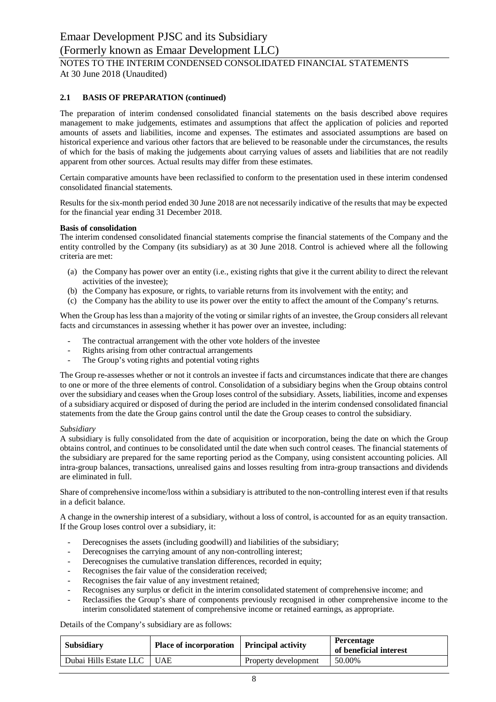## **2.1 BASIS OF PREPARATION (continued)**

The preparation of interim condensed consolidated financial statements on the basis described above requires management to make judgements, estimates and assumptions that affect the application of policies and reported amounts of assets and liabilities, income and expenses. The estimates and associated assumptions are based on historical experience and various other factors that are believed to be reasonable under the circumstances, the results of which for the basis of making the judgements about carrying values of assets and liabilities that are not readily apparent from other sources. Actual results may differ from these estimates.

Certain comparative amounts have been reclassified to conform to the presentation used in these interim condensed consolidated financial statements.

Results for the six-month period ended 30 June 2018 are not necessarily indicative of the results that may be expected for the financial year ending 31 December 2018.

#### **Basis of consolidation**

The interim condensed consolidated financial statements comprise the financial statements of the Company and the entity controlled by the Company (its subsidiary) as at 30 June 2018. Control is achieved where all the following criteria are met:

- (a) the Company has power over an entity (i.e., existing rights that give it the current ability to direct the relevant activities of the investee);
- (b) the Company has exposure, or rights, to variable returns from its involvement with the entity; and
- (c) the Company has the ability to use its power over the entity to affect the amount of the Company's returns.

When the Group has less than a majority of the voting or similar rights of an investee, the Group considers all relevant facts and circumstances in assessing whether it has power over an investee, including:

- The contractual arrangement with the other vote holders of the investee
- Rights arising from other contractual arrangements
- The Group's voting rights and potential voting rights

The Group re-assesses whether or not it controls an investee if facts and circumstances indicate that there are changes to one or more of the three elements of control. Consolidation of a subsidiary begins when the Group obtains control over the subsidiary and ceases when the Group loses control of the subsidiary. Assets, liabilities, income and expenses of a subsidiary acquired or disposed of during the period are included in the interim condensed consolidated financial statements from the date the Group gains control until the date the Group ceases to control the subsidiary.

#### *Subsidiary*

A subsidiary is fully consolidated from the date of acquisition or incorporation, being the date on which the Group obtains control, and continues to be consolidated until the date when such control ceases. The financial statements of the subsidiary are prepared for the same reporting period as the Company, using consistent accounting policies. All intra-group balances, transactions, unrealised gains and losses resulting from intra-group transactions and dividends are eliminated in full.

Share of comprehensive income/loss within a subsidiary is attributed to the non-controlling interest even if that results in a deficit balance.

A change in the ownership interest of a subsidiary, without a loss of control, is accounted for as an equity transaction. If the Group loses control over a subsidiary, it:

- Derecognises the assets (including goodwill) and liabilities of the subsidiary;
- Derecognises the carrying amount of any non-controlling interest;
- Derecognises the cumulative translation differences, recorded in equity;
- Recognises the fair value of the consideration received:
- Recognises the fair value of any investment retained;
- Recognises any surplus or deficit in the interim consolidated statement of comprehensive income; and
- Reclassifies the Group's share of components previously recognised in other comprehensive income to the interim consolidated statement of comprehensive income or retained earnings, as appropriate.

Details of the Company's subsidiary are as follows:

| <b>Subsidiary</b>            | Place of incorporation   Principal activity |                      | Percentage<br>of beneficial interest |
|------------------------------|---------------------------------------------|----------------------|--------------------------------------|
| Dubai Hills Estate LLC   UAE |                                             | Property development | 50.00%                               |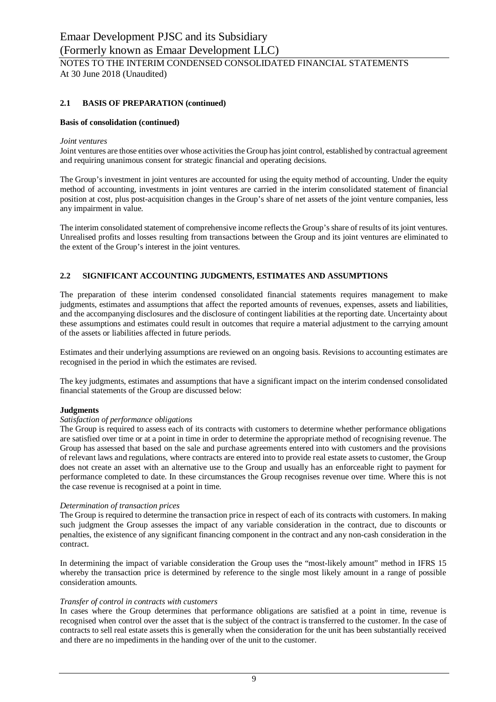## **2.1 BASIS OF PREPARATION (continued)**

#### **Basis of consolidation (continued)**

#### *Joint ventures*

Joint ventures are those entities over whose activities the Group has joint control, established by contractual agreement and requiring unanimous consent for strategic financial and operating decisions.

The Group's investment in joint ventures are accounted for using the equity method of accounting. Under the equity method of accounting, investments in joint ventures are carried in the interim consolidated statement of financial position at cost, plus post-acquisition changes in the Group's share of net assets of the joint venture companies, less any impairment in value.

The interim consolidated statement of comprehensive income reflects the Group's share of results of its joint ventures. Unrealised profits and losses resulting from transactions between the Group and its joint ventures are eliminated to the extent of the Group's interest in the joint ventures.

#### **2.2 SIGNIFICANT ACCOUNTING JUDGMENTS, ESTIMATES AND ASSUMPTIONS**

The preparation of these interim condensed consolidated financial statements requires management to make judgments, estimates and assumptions that affect the reported amounts of revenues, expenses, assets and liabilities, and the accompanying disclosures and the disclosure of contingent liabilities at the reporting date. Uncertainty about these assumptions and estimates could result in outcomes that require a material adjustment to the carrying amount of the assets or liabilities affected in future periods.

Estimates and their underlying assumptions are reviewed on an ongoing basis. Revisions to accounting estimates are recognised in the period in which the estimates are revised.

The key judgments, estimates and assumptions that have a significant impact on the interim condensed consolidated financial statements of the Group are discussed below:

#### **Judgments**

### *Satisfaction of performance obligations*

The Group is required to assess each of its contracts with customers to determine whether performance obligations are satisfied over time or at a point in time in order to determine the appropriate method of recognising revenue. The Group has assessed that based on the sale and purchase agreements entered into with customers and the provisions of relevant laws and regulations, where contracts are entered into to provide real estate assets to customer, the Group does not create an asset with an alternative use to the Group and usually has an enforceable right to payment for performance completed to date. In these circumstances the Group recognises revenue over time. Where this is not the case revenue is recognised at a point in time.

#### *Determination of transaction prices*

The Group is required to determine the transaction price in respect of each of its contracts with customers. In making such judgment the Group assesses the impact of any variable consideration in the contract, due to discounts or penalties, the existence of any significant financing component in the contract and any non-cash consideration in the contract.

In determining the impact of variable consideration the Group uses the "most-likely amount" method in IFRS 15 whereby the transaction price is determined by reference to the single most likely amount in a range of possible consideration amounts.

#### *Transfer of control in contracts with customers*

In cases where the Group determines that performance obligations are satisfied at a point in time, revenue is recognised when control over the asset that is the subject of the contract is transferred to the customer. In the case of contracts to sell real estate assets this is generally when the consideration for the unit has been substantially received and there are no impediments in the handing over of the unit to the customer.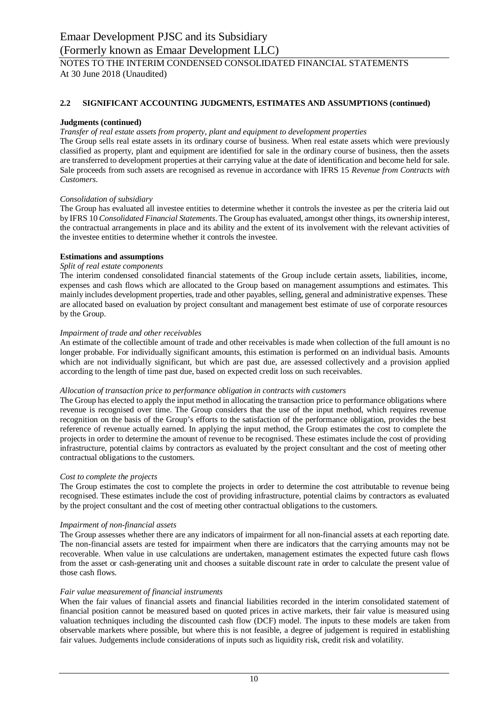## **2.2 SIGNIFICANT ACCOUNTING JUDGMENTS, ESTIMATES AND ASSUMPTIONS (continued)**

#### **Judgments (continued)**

#### *Transfer of real estate assets from property, plant and equipment to development properties*

The Group sells real estate assets in its ordinary course of business. When real estate assets which were previously classified as property, plant and equipment are identified for sale in the ordinary course of business, then the assets are transferred to development properties at their carrying value at the date of identification and become held for sale. Sale proceeds from such assets are recognised as revenue in accordance with IFRS 15 *Revenue from Contracts with Customers*.

#### *Consolidation of subsidiary*

The Group has evaluated all investee entities to determine whether it controls the investee as per the criteria laid out by IFRS 10 *Consolidated Financial Statements*. The Group has evaluated, amongst other things, its ownership interest, the contractual arrangements in place and its ability and the extent of its involvement with the relevant activities of the investee entities to determine whether it controls the investee.

#### **Estimations and assumptions**

#### *Split of real estate components*

The interim condensed consolidated financial statements of the Group include certain assets, liabilities, income, expenses and cash flows which are allocated to the Group based on management assumptions and estimates. This mainly includes development properties, trade and other payables, selling, general and administrative expenses. These are allocated based on evaluation by project consultant and management best estimate of use of corporate resources by the Group.

#### *Impairment of trade and other receivables*

An estimate of the collectible amount of trade and other receivables is made when collection of the full amount is no longer probable. For individually significant amounts, this estimation is performed on an individual basis. Amounts which are not individually significant, but which are past due, are assessed collectively and a provision applied according to the length of time past due, based on expected credit loss on such receivables.

#### *Allocation of transaction price to performance obligation in contracts with customers*

The Group has elected to apply the input method in allocating the transaction price to performance obligations where revenue is recognised over time. The Group considers that the use of the input method, which requires revenue recognition on the basis of the Group's efforts to the satisfaction of the performance obligation, provides the best reference of revenue actually earned. In applying the input method, the Group estimates the cost to complete the projects in order to determine the amount of revenue to be recognised. These estimates include the cost of providing infrastructure, potential claims by contractors as evaluated by the project consultant and the cost of meeting other contractual obligations to the customers.

#### *Cost to complete the projects*

The Group estimates the cost to complete the projects in order to determine the cost attributable to revenue being recognised. These estimates include the cost of providing infrastructure, potential claims by contractors as evaluated by the project consultant and the cost of meeting other contractual obligations to the customers.

### *Impairment of non-financial assets*

The Group assesses whether there are any indicators of impairment for all non-financial assets at each reporting date. The non-financial assets are tested for impairment when there are indicators that the carrying amounts may not be recoverable. When value in use calculations are undertaken, management estimates the expected future cash flows from the asset or cash-generating unit and chooses a suitable discount rate in order to calculate the present value of those cash flows.

#### *Fair value measurement of financial instruments*

When the fair values of financial assets and financial liabilities recorded in the interim consolidated statement of financial position cannot be measured based on quoted prices in active markets, their fair value is measured using valuation techniques including the discounted cash flow (DCF) model. The inputs to these models are taken from observable markets where possible, but where this is not feasible, a degree of judgement is required in establishing fair values. Judgements include considerations of inputs such as liquidity risk, credit risk and volatility.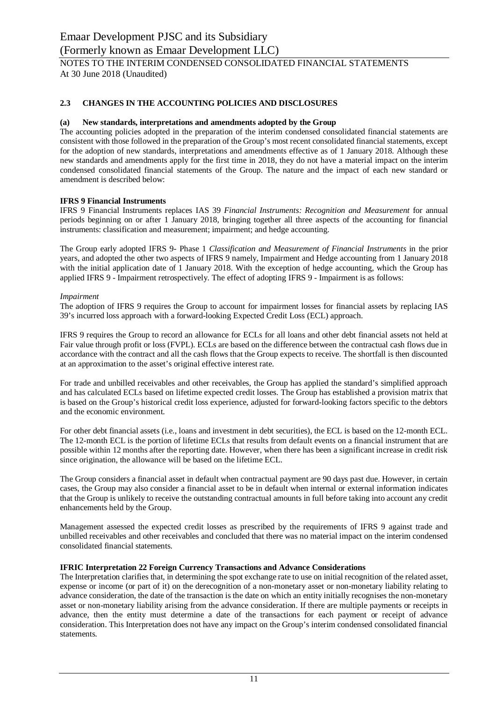## **2.3 CHANGES IN THE ACCOUNTING POLICIES AND DISCLOSURES**

#### **(a) New standards, interpretations and amendments adopted by the Group**

The accounting policies adopted in the preparation of the interim condensed consolidated financial statements are consistent with those followed in the preparation of the Group's most recent consolidated financial statements, except for the adoption of new standards, interpretations and amendments effective as of 1 January 2018. Although these new standards and amendments apply for the first time in 2018, they do not have a material impact on the interim condensed consolidated financial statements of the Group. The nature and the impact of each new standard or amendment is described below:

### **IFRS 9 Financial Instruments**

IFRS 9 Financial Instruments replaces IAS 39 *Financial Instruments: Recognition and Measurement* for annual periods beginning on or after 1 January 2018, bringing together all three aspects of the accounting for financial instruments: classification and measurement; impairment; and hedge accounting.

The Group early adopted IFRS 9- Phase 1 *Classification and Measurement of Financial Instruments* in the prior years, and adopted the other two aspects of IFRS 9 namely, Impairment and Hedge accounting from 1 January 2018 with the initial application date of 1 January 2018. With the exception of hedge accounting, which the Group has applied IFRS 9 - Impairment retrospectively. The effect of adopting IFRS 9 - Impairment is as follows:

#### *Impairment*

The adoption of IFRS 9 requires the Group to account for impairment losses for financial assets by replacing IAS 39's incurred loss approach with a forward-looking Expected Credit Loss (ECL) approach.

IFRS 9 requires the Group to record an allowance for ECLs for all loans and other debt financial assets not held at Fair value through profit or loss (FVPL). ECLs are based on the difference between the contractual cash flows due in accordance with the contract and all the cash flows that the Group expects to receive. The shortfall is then discounted at an approximation to the asset's original effective interest rate.

For trade and unbilled receivables and other receivables, the Group has applied the standard's simplified approach and has calculated ECLs based on lifetime expected credit losses. The Group has established a provision matrix that is based on the Group's historical credit loss experience, adjusted for forward-looking factors specific to the debtors and the economic environment.

For other debt financial assets (i.e., loans and investment in debt securities), the ECL is based on the 12-month ECL. The 12-month ECL is the portion of lifetime ECLs that results from default events on a financial instrument that are possible within 12 months after the reporting date. However, when there has been a significant increase in credit risk since origination, the allowance will be based on the lifetime ECL.

The Group considers a financial asset in default when contractual payment are 90 days past due. However, in certain cases, the Group may also consider a financial asset to be in default when internal or external information indicates that the Group is unlikely to receive the outstanding contractual amounts in full before taking into account any credit enhancements held by the Group.

Management assessed the expected credit losses as prescribed by the requirements of IFRS 9 against trade and unbilled receivables and other receivables and concluded that there was no material impact on the interim condensed consolidated financial statements.

## **IFRIC Interpretation 22 Foreign Currency Transactions and Advance Considerations**

The Interpretation clarifies that, in determining the spot exchange rate to use on initial recognition of the related asset, expense or income (or part of it) on the derecognition of a non-monetary asset or non-monetary liability relating to advance consideration, the date of the transaction is the date on which an entity initially recognises the non-monetary asset or non-monetary liability arising from the advance consideration. If there are multiple payments or receipts in advance, then the entity must determine a date of the transactions for each payment or receipt of advance consideration. This Interpretation does not have any impact on the Group's interim condensed consolidated financial statements.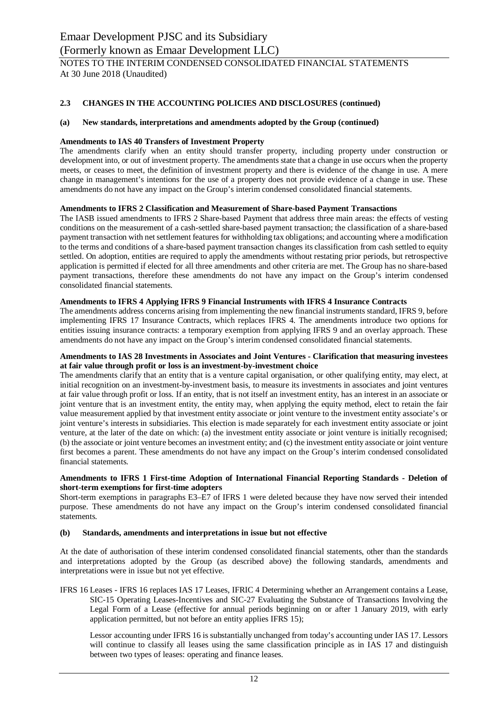## **2.3 CHANGES IN THE ACCOUNTING POLICIES AND DISCLOSURES (continued)**

#### **(a) New standards, interpretations and amendments adopted by the Group (continued)**

#### **Amendments to IAS 40 Transfers of Investment Property**

The amendments clarify when an entity should transfer property, including property under construction or development into, or out of investment property. The amendments state that a change in use occurs when the property meets, or ceases to meet, the definition of investment property and there is evidence of the change in use. A mere change in management's intentions for the use of a property does not provide evidence of a change in use. These amendments do not have any impact on the Group's interim condensed consolidated financial statements.

#### **Amendments to IFRS 2 Classification and Measurement of Share-based Payment Transactions**

The IASB issued amendments to IFRS 2 Share-based Payment that address three main areas: the effects of vesting conditions on the measurement of a cash-settled share-based payment transaction; the classification of a share-based payment transaction with net settlement features for withholding tax obligations; and accounting where a modification to the terms and conditions of a share-based payment transaction changes its classification from cash settled to equity settled. On adoption, entities are required to apply the amendments without restating prior periods, but retrospective application is permitted if elected for all three amendments and other criteria are met. The Group has no share-based payment transactions, therefore these amendments do not have any impact on the Group's interim condensed consolidated financial statements.

#### **Amendments to IFRS 4 Applying IFRS 9 Financial Instruments with IFRS 4 Insurance Contracts**

The amendments address concerns arising from implementing the new financial instruments standard, IFRS 9, before implementing IFRS 17 Insurance Contracts, which replaces IFRS 4. The amendments introduce two options for entities issuing insurance contracts: a temporary exemption from applying IFRS 9 and an overlay approach. These amendments do not have any impact on the Group's interim condensed consolidated financial statements.

#### **Amendments to IAS 28 Investments in Associates and Joint Ventures - Clarification that measuring investees at fair value through profit or loss is an investment-by-investment choice**

The amendments clarify that an entity that is a venture capital organisation, or other qualifying entity, may elect, at initial recognition on an investment-by-investment basis, to measure its investments in associates and joint ventures at fair value through profit or loss. If an entity, that is not itself an investment entity, has an interest in an associate or joint venture that is an investment entity, the entity may, when applying the equity method, elect to retain the fair value measurement applied by that investment entity associate or joint venture to the investment entity associate's or joint venture's interests in subsidiaries. This election is made separately for each investment entity associate or joint venture, at the later of the date on which: (a) the investment entity associate or joint venture is initially recognised; (b) the associate or joint venture becomes an investment entity; and (c) the investment entity associate or joint venture first becomes a parent. These amendments do not have any impact on the Group's interim condensed consolidated financial statements.

#### **Amendments to IFRS 1 First-time Adoption of International Financial Reporting Standards - Deletion of short-term exemptions for first-time adopters**

Short-term exemptions in paragraphs E3–E7 of IFRS 1 were deleted because they have now served their intended purpose. These amendments do not have any impact on the Group's interim condensed consolidated financial statements.

#### **(b) Standards, amendments and interpretations in issue but not effective**

At the date of authorisation of these interim condensed consolidated financial statements, other than the standards and interpretations adopted by the Group (as described above) the following standards, amendments and interpretations were in issue but not yet effective.

IFRS 16 Leases - IFRS 16 replaces IAS 17 Leases, IFRIC 4 Determining whether an Arrangement contains a Lease, SIC-15 Operating Leases-Incentives and SIC-27 Evaluating the Substance of Transactions Involving the Legal Form of a Lease (effective for annual periods beginning on or after 1 January 2019, with early application permitted, but not before an entity applies IFRS 15);

Lessor accounting under IFRS 16 is substantially unchanged from today's accounting under IAS 17. Lessors will continue to classify all leases using the same classification principle as in IAS 17 and distinguish between two types of leases: operating and finance leases.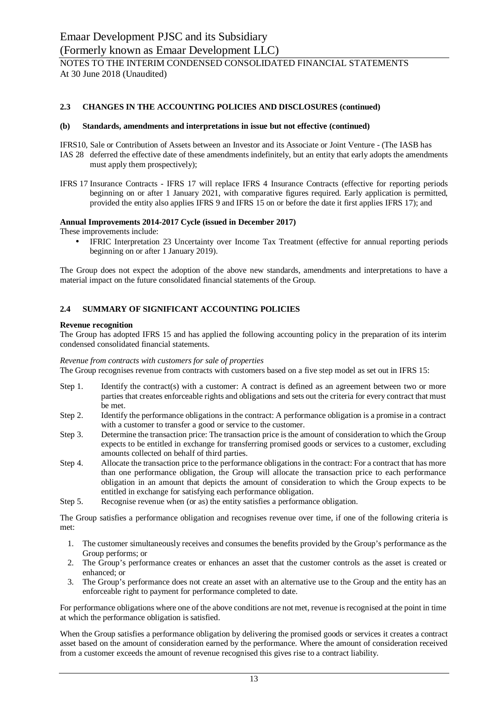## **2.3 CHANGES IN THE ACCOUNTING POLICIES AND DISCLOSURES (continued)**

#### **(b) Standards, amendments and interpretations in issue but not effective (continued)**

- IFRS10, Sale or Contribution of Assets between an Investor and its Associate or Joint Venture (The IASB has
- IAS 28 deferred the effective date of these amendments indefinitely, but an entity that early adopts the amendments must apply them prospectively);
- IFRS 17 Insurance Contracts IFRS 17 will replace IFRS 4 Insurance Contracts (effective for reporting periods beginning on or after 1 January 2021, with comparative figures required. Early application is permitted, provided the entity also applies IFRS 9 and IFRS 15 on or before the date it first applies IFRS 17); and

#### **Annual Improvements 2014-2017 Cycle (issued in December 2017)**

These improvements include:

IFRIC Interpretation 23 Uncertainty over Income Tax Treatment (effective for annual reporting periods beginning on or after 1 January 2019).

The Group does not expect the adoption of the above new standards, amendments and interpretations to have a material impact on the future consolidated financial statements of the Group.

### **2.4 SUMMARY OF SIGNIFICANT ACCOUNTING POLICIES**

#### **Revenue recognition**

The Group has adopted IFRS 15 and has applied the following accounting policy in the preparation of its interim condensed consolidated financial statements.

#### *Revenue from contracts with customers for sale of properties*

The Group recognises revenue from contracts with customers based on a five step model as set out in IFRS 15:

- Step 1. Identify the contract(s) with a customer: A contract is defined as an agreement between two or more parties that creates enforceable rights and obligations and sets out the criteria for every contract that must be met.
- Step 2. Identify the performance obligations in the contract: A performance obligation is a promise in a contract with a customer to transfer a good or service to the customer.
- Step 3. Determine the transaction price: The transaction price is the amount of consideration to which the Group expects to be entitled in exchange for transferring promised goods or services to a customer, excluding amounts collected on behalf of third parties.
- Step 4. Allocate the transaction price to the performance obligations in the contract: For a contract that has more than one performance obligation, the Group will allocate the transaction price to each performance obligation in an amount that depicts the amount of consideration to which the Group expects to be entitled in exchange for satisfying each performance obligation.
- Step 5. Recognise revenue when (or as) the entity satisfies a performance obligation.

The Group satisfies a performance obligation and recognises revenue over time, if one of the following criteria is met:

- 1. The customer simultaneously receives and consumes the benefits provided by the Group's performance as the Group performs; or
- 2. The Group's performance creates or enhances an asset that the customer controls as the asset is created or enhanced; or
- 3. The Group's performance does not create an asset with an alternative use to the Group and the entity has an enforceable right to payment for performance completed to date.

For performance obligations where one of the above conditions are not met, revenue is recognised at the point in time at which the performance obligation is satisfied.

When the Group satisfies a performance obligation by delivering the promised goods or services it creates a contract asset based on the amount of consideration earned by the performance. Where the amount of consideration received from a customer exceeds the amount of revenue recognised this gives rise to a contract liability.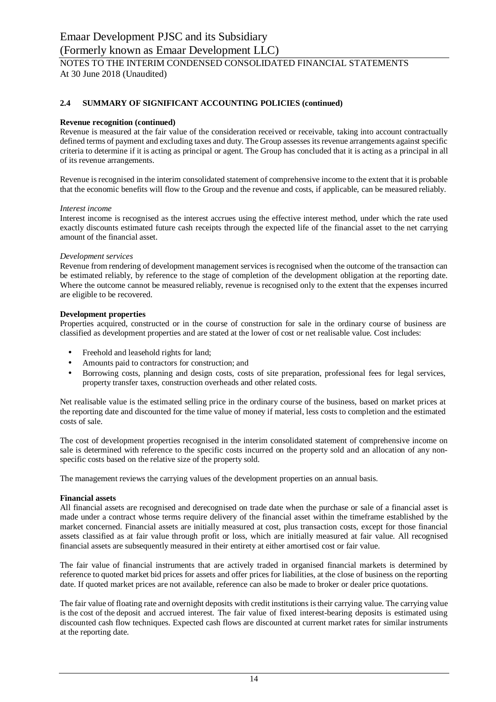At 30 June 2018 (Unaudited)

#### **2.4 SUMMARY OF SIGNIFICANT ACCOUNTING POLICIES (continued)**

#### **Revenue recognition (continued)**

Revenue is measured at the fair value of the consideration received or receivable, taking into account contractually defined terms of payment and excluding taxes and duty. The Group assesses its revenue arrangements against specific criteria to determine if it is acting as principal or agent. The Group has concluded that it is acting as a principal in all of its revenue arrangements.

Revenue is recognised in the interim consolidated statement of comprehensive income to the extent that it is probable that the economic benefits will flow to the Group and the revenue and costs, if applicable, can be measured reliably.

#### *Interest income*

Interest income is recognised as the interest accrues using the effective interest method, under which the rate used exactly discounts estimated future cash receipts through the expected life of the financial asset to the net carrying amount of the financial asset.

#### *Development services*

Revenue from rendering of development management services is recognised when the outcome of the transaction can be estimated reliably, by reference to the stage of completion of the development obligation at the reporting date. Where the outcome cannot be measured reliably, revenue is recognised only to the extent that the expenses incurred are eligible to be recovered.

#### **Development properties**

Properties acquired, constructed or in the course of construction for sale in the ordinary course of business are classified as development properties and are stated at the lower of cost or net realisable value. Cost includes:

- Freehold and leasehold rights for land;
- Amounts paid to contractors for construction; and
- Borrowing costs, planning and design costs, costs of site preparation, professional fees for legal services, property transfer taxes, construction overheads and other related costs.

Net realisable value is the estimated selling price in the ordinary course of the business, based on market prices at the reporting date and discounted for the time value of money if material, less costs to completion and the estimated costs of sale.

The cost of development properties recognised in the interim consolidated statement of comprehensive income on sale is determined with reference to the specific costs incurred on the property sold and an allocation of any nonspecific costs based on the relative size of the property sold.

The management reviews the carrying values of the development properties on an annual basis.

#### **Financial assets**

All financial assets are recognised and derecognised on trade date when the purchase or sale of a financial asset is made under a contract whose terms require delivery of the financial asset within the timeframe established by the market concerned. Financial assets are initially measured at cost, plus transaction costs, except for those financial assets classified as at fair value through profit or loss, which are initially measured at fair value. All recognised financial assets are subsequently measured in their entirety at either amortised cost or fair value.

The fair value of financial instruments that are actively traded in organised financial markets is determined by reference to quoted market bid prices for assets and offer prices for liabilities, at the close of business on the reporting date. If quoted market prices are not available, reference can also be made to broker or dealer price quotations.

The fair value of floating rate and overnight deposits with credit institutions is their carrying value. The carrying value is the cost of the deposit and accrued interest. The fair value of fixed interest-bearing deposits is estimated using discounted cash flow techniques. Expected cash flows are discounted at current market rates for similar instruments at the reporting date.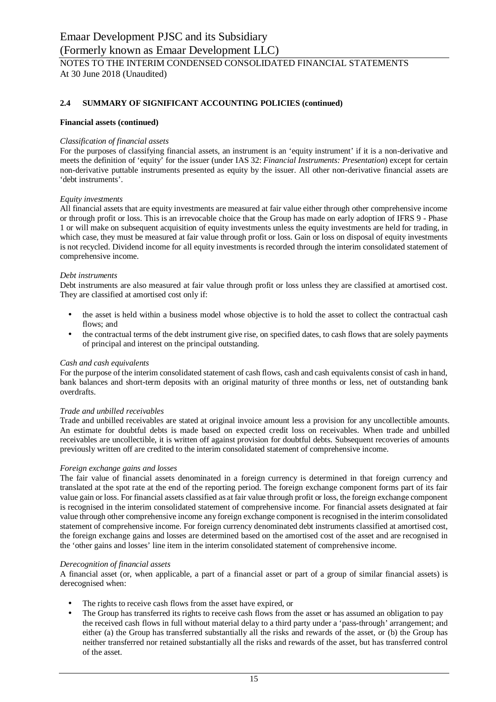At 30 June 2018 (Unaudited)

### **2.4 SUMMARY OF SIGNIFICANT ACCOUNTING POLICIES (continued)**

#### **Financial assets (continued)**

#### *Classification of financial assets*

For the purposes of classifying financial assets, an instrument is an 'equity instrument' if it is a non-derivative and meets the definition of 'equity' for the issuer (under IAS 32: *Financial Instruments: Presentation*) except for certain non-derivative puttable instruments presented as equity by the issuer. All other non-derivative financial assets are 'debt instruments'.

#### *Equity investments*

All financial assets that are equity investments are measured at fair value either through other comprehensive income or through profit or loss. This is an irrevocable choice that the Group has made on early adoption of IFRS 9 - Phase 1 or will make on subsequent acquisition of equity investments unless the equity investments are held for trading, in which case, they must be measured at fair value through profit or loss. Gain or loss on disposal of equity investments is not recycled. Dividend income for all equity investments is recorded through the interim consolidated statement of comprehensive income.

#### *Debt instruments*

Debt instruments are also measured at fair value through profit or loss unless they are classified at amortised cost. They are classified at amortised cost only if:

- the asset is held within a business model whose objective is to hold the asset to collect the contractual cash flows; and
- the contractual terms of the debt instrument give rise, on specified dates, to cash flows that are solely payments ÷. of principal and interest on the principal outstanding.

#### *Cash and cash equivalents*

For the purpose of the interim consolidated statement of cash flows, cash and cash equivalents consist of cash in hand, bank balances and short-term deposits with an original maturity of three months or less, net of outstanding bank overdrafts.

#### *Trade and unbilled receivables*

Trade and unbilled receivables are stated at original invoice amount less a provision for any uncollectible amounts. An estimate for doubtful debts is made based on expected credit loss on receivables. When trade and unbilled receivables are uncollectible, it is written off against provision for doubtful debts. Subsequent recoveries of amounts previously written off are credited to the interim consolidated statement of comprehensive income.

#### *Foreign exchange gains and losses*

The fair value of financial assets denominated in a foreign currency is determined in that foreign currency and translated at the spot rate at the end of the reporting period. The foreign exchange component forms part of its fair value gain or loss. For financial assets classified as at fair value through profit or loss, the foreign exchange component is recognised in the interim consolidated statement of comprehensive income. For financial assets designated at fair value through other comprehensive income any foreign exchange component is recognised in the interim consolidated statement of comprehensive income. For foreign currency denominated debt instruments classified at amortised cost, the foreign exchange gains and losses are determined based on the amortised cost of the asset and are recognised in the 'other gains and losses' line item in the interim consolidated statement of comprehensive income.

#### *Derecognition of financial assets*

A financial asset (or, when applicable, a part of a financial asset or part of a group of similar financial assets) is derecognised when:

- The rights to receive cash flows from the asset have expired, or
- The Group has transferred its rights to receive cash flows from the asset or has assumed an obligation to pay the received cash flows in full without material delay to a third party under a 'pass-through' arrangement; and either (a) the Group has transferred substantially all the risks and rewards of the asset, or (b) the Group has neither transferred nor retained substantially all the risks and rewards of the asset, but has transferred control of the asset.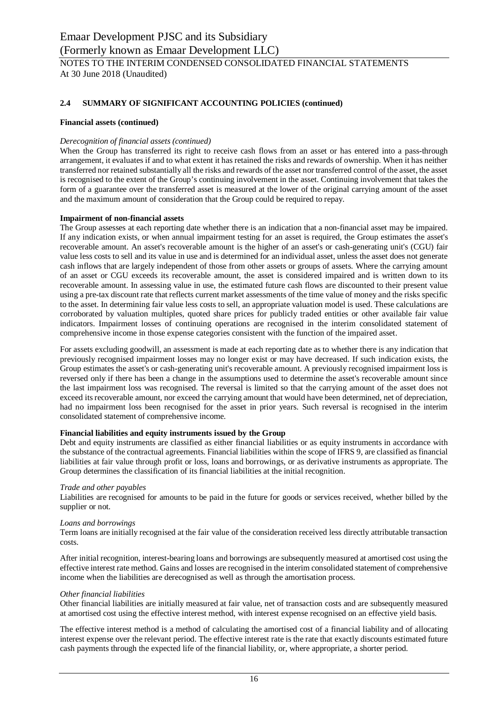## **2.4 SUMMARY OF SIGNIFICANT ACCOUNTING POLICIES (continued)**

#### **Financial assets (continued)**

### *Derecognition of financial assets (continued)*

When the Group has transferred its right to receive cash flows from an asset or has entered into a pass-through arrangement, it evaluates if and to what extent it has retained the risks and rewards of ownership. When it has neither transferred nor retained substantially all the risks and rewards of the asset nor transferred control of the asset, the asset is recognised to the extent of the Group's continuing involvement in the asset. Continuing involvement that takes the form of a guarantee over the transferred asset is measured at the lower of the original carrying amount of the asset and the maximum amount of consideration that the Group could be required to repay.

#### **Impairment of non-financial assets**

The Group assesses at each reporting date whether there is an indication that a non-financial asset may be impaired. If any indication exists, or when annual impairment testing for an asset is required, the Group estimates the asset's recoverable amount. An asset's recoverable amount is the higher of an asset's or cash-generating unit's (CGU) fair value less costs to sell and its value in use and is determined for an individual asset, unless the asset does not generate cash inflows that are largely independent of those from other assets or groups of assets. Where the carrying amount of an asset or CGU exceeds its recoverable amount, the asset is considered impaired and is written down to its recoverable amount. In assessing value in use, the estimated future cash flows are discounted to their present value using a pre-tax discount rate that reflects current market assessments of the time value of money and the risks specific to the asset. In determining fair value less costs to sell, an appropriate valuation model is used. These calculations are corroborated by valuation multiples, quoted share prices for publicly traded entities or other available fair value indicators. Impairment losses of continuing operations are recognised in the interim consolidated statement of comprehensive income in those expense categories consistent with the function of the impaired asset.

For assets excluding goodwill, an assessment is made at each reporting date as to whether there is any indication that previously recognised impairment losses may no longer exist or may have decreased. If such indication exists, the Group estimates the asset's or cash-generating unit's recoverable amount. A previously recognised impairment loss is reversed only if there has been a change in the assumptions used to determine the asset's recoverable amount since the last impairment loss was recognised. The reversal is limited so that the carrying amount of the asset does not exceed its recoverable amount, nor exceed the carrying amount that would have been determined, net of depreciation, had no impairment loss been recognised for the asset in prior years. Such reversal is recognised in the interim consolidated statement of comprehensive income.

#### **Financial liabilities and equity instruments issued by the Group**

Debt and equity instruments are classified as either financial liabilities or as equity instruments in accordance with the substance of the contractual agreements. Financial liabilities within the scope of IFRS 9, are classified as financial liabilities at fair value through profit or loss, loans and borrowings, or as derivative instruments as appropriate. The Group determines the classification of its financial liabilities at the initial recognition.

#### *Trade and other payables*

Liabilities are recognised for amounts to be paid in the future for goods or services received, whether billed by the supplier or not.

#### *Loans and borrowings*

Term loans are initially recognised at the fair value of the consideration received less directly attributable transaction costs.

After initial recognition, interest-bearing loans and borrowings are subsequently measured at amortised cost using the effective interest rate method. Gains and losses are recognised in the interim consolidated statement of comprehensive income when the liabilities are derecognised as well as through the amortisation process.

#### *Other financial liabilities*

Other financial liabilities are initially measured at fair value, net of transaction costs and are subsequently measured at amortised cost using the effective interest method, with interest expense recognised on an effective yield basis.

The effective interest method is a method of calculating the amortised cost of a financial liability and of allocating interest expense over the relevant period. The effective interest rate is the rate that exactly discounts estimated future cash payments through the expected life of the financial liability, or, where appropriate, a shorter period.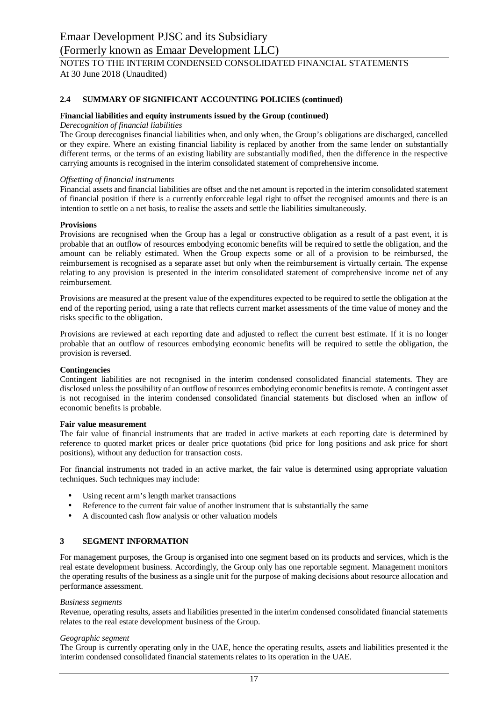## **2.4 SUMMARY OF SIGNIFICANT ACCOUNTING POLICIES (continued)**

#### **Financial liabilities and equity instruments issued by the Group (continued)**

#### *Derecognition of financial liabilities*

The Group derecognises financial liabilities when, and only when, the Group's obligations are discharged, cancelled or they expire. Where an existing financial liability is replaced by another from the same lender on substantially different terms, or the terms of an existing liability are substantially modified, then the difference in the respective carrying amounts is recognised in the interim consolidated statement of comprehensive income.

#### *Offsetting of financial instruments*

Financial assets and financial liabilities are offset and the net amount is reported in the interim consolidated statement of financial position if there is a currently enforceable legal right to offset the recognised amounts and there is an intention to settle on a net basis, to realise the assets and settle the liabilities simultaneously.

#### **Provisions**

Provisions are recognised when the Group has a legal or constructive obligation as a result of a past event, it is probable that an outflow of resources embodying economic benefits will be required to settle the obligation, and the amount can be reliably estimated. When the Group expects some or all of a provision to be reimbursed, the reimbursement is recognised as a separate asset but only when the reimbursement is virtually certain. The expense relating to any provision is presented in the interim consolidated statement of comprehensive income net of any reimbursement.

Provisions are measured at the present value of the expenditures expected to be required to settle the obligation at the end of the reporting period, using a rate that reflects current market assessments of the time value of money and the risks specific to the obligation.

Provisions are reviewed at each reporting date and adjusted to reflect the current best estimate. If it is no longer probable that an outflow of resources embodying economic benefits will be required to settle the obligation, the provision is reversed.

#### **Contingencies**

Contingent liabilities are not recognised in the interim condensed consolidated financial statements. They are disclosed unless the possibility of an outflow of resources embodying economic benefits is remote. A contingent asset is not recognised in the interim condensed consolidated financial statements but disclosed when an inflow of economic benefits is probable.

#### **Fair value measurement**

The fair value of financial instruments that are traded in active markets at each reporting date is determined by reference to quoted market prices or dealer price quotations (bid price for long positions and ask price for short positions), without any deduction for transaction costs.

For financial instruments not traded in an active market, the fair value is determined using appropriate valuation techniques. Such techniques may include:

- $\mathcal{L}^{\mathcal{L}}$ Using recent arm's length market transactions
- Reference to the current fair value of another instrument that is substantially the same
- A discounted cash flow analysis or other valuation models ÷.

#### **3 SEGMENT INFORMATION**

For management purposes, the Group is organised into one segment based on its products and services, which is the real estate development business. Accordingly, the Group only has one reportable segment. Management monitors the operating results of the business as a single unit for the purpose of making decisions about resource allocation and performance assessment.

#### *Business segments*

Revenue, operating results, assets and liabilities presented in the interim condensed consolidated financial statements relates to the real estate development business of the Group.

#### *Geographic segment*

The Group is currently operating only in the UAE, hence the operating results, assets and liabilities presented it the interim condensed consolidated financial statements relates to its operation in the UAE.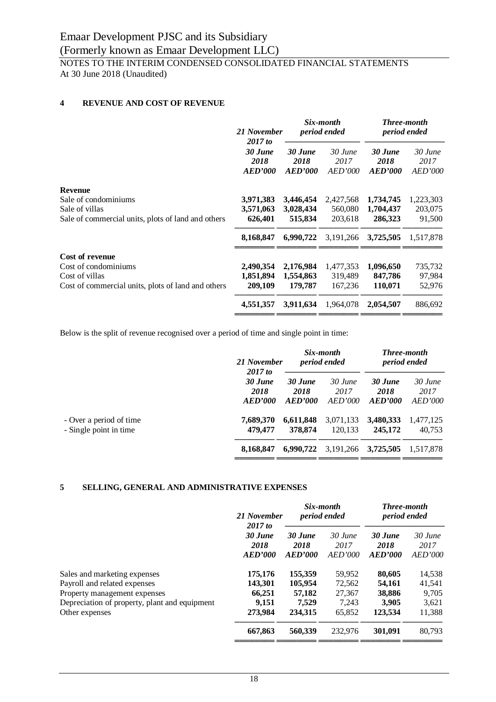NOTES TO THE INTERIM CONDENSED CONSOLIDATED FINANCIAL STATEMENTS At 30 June 2018 (Unaudited)

## **4 REVENUE AND COST OF REVENUE**

|                                                    | 21 November<br>2017 to<br>30 June<br>2018<br><b>AED'000</b> |                                   | Six-month<br>period ended         | <b>Three-month</b><br>period ended |                                   |
|----------------------------------------------------|-------------------------------------------------------------|-----------------------------------|-----------------------------------|------------------------------------|-----------------------------------|
|                                                    |                                                             | 30 June<br>2018<br><b>AED'000</b> | 30 June<br>2017<br><b>AED'000</b> | 30 June<br>2018<br>AED'000         | 30 June<br>2017<br><b>AED'000</b> |
| Revenue                                            |                                                             |                                   |                                   |                                    |                                   |
| Sale of condominiums                               | 3,971,383                                                   | 3,446,454                         | 2,427,568                         | 1,734,745                          | 1,223,303                         |
| Sale of villas                                     | 3,571,063                                                   | 3,028,434                         | 560,080                           | 1,704,437                          | 203,075                           |
| Sale of commercial units, plots of land and others | 626,401                                                     | 515,834                           | 203,618                           | 286,323                            | 91,500                            |
|                                                    | 8,168,847                                                   | 6,990,722                         | 3,191,266                         | 3,725,505                          | 1,517,878                         |
| Cost of revenue                                    |                                                             |                                   |                                   |                                    |                                   |
| Cost of condominiums                               | 2,490,354                                                   | 2,176,984                         | 1,477,353                         | 1,096,650                          | 735,732                           |
| Cost of villas                                     | 1,851,894                                                   | 1,554,863                         | 319,489                           | 847,786                            | 97,984                            |
| Cost of commercial units, plots of land and others | 209,109                                                     | 179,787                           | 167,236                           | 110,071                            | 52,976                            |
|                                                    | 4,551,357                                                   | 3,911,634                         | 1,964,078                         | 2,054,507                          | 886,692                           |
|                                                    |                                                             |                                   |                                   |                                    |                                   |

Below is the split of revenue recognised over a period of time and single point in time:

|                         | 21 November | Six-month           |             | <b>Three-month</b>  |           |
|-------------------------|-------------|---------------------|-------------|---------------------|-----------|
|                         | 2017 to     | <i>period ended</i> |             | <i>period ended</i> |           |
|                         | 30 June     | 30 June             | $30$ June   | 30 June             | $30$ June |
|                         | 2018        | 2018                | 2017        | 2018                | 2017      |
|                         | AED'000     | AED'000             | AED'000     | AED'000             | AED'000   |
| - Over a period of time | 7,689,370   | 6,611,848           | 3,071,133   | 3,480,333           | 1,477,125 |
| - Single point in time  | 479,477     | 378,874             | 120,133     | 245,172             | 40,753    |
|                         | 8.168.847   | 6,990,722           | 3, 191, 266 | 3,725,505           | 1,517,878 |

## **5 SELLING, GENERAL AND ADMINISTRATIVE EXPENSES**

|                                                                                                                                                                 | 21 November<br>$2017$ to<br>30 June<br>2018<br>AED'000 | Six-month<br>period ended                        |                                               |                                                | <b>Three-month</b><br>period ended           |  |
|-----------------------------------------------------------------------------------------------------------------------------------------------------------------|--------------------------------------------------------|--------------------------------------------------|-----------------------------------------------|------------------------------------------------|----------------------------------------------|--|
|                                                                                                                                                                 |                                                        | 30 June<br>2018<br>AED'000                       | $30$ June<br>2017<br>AED'000                  | 30 June<br>2018<br>AED'000                     | $30$ June<br>2017<br>AED'000                 |  |
| Sales and marketing expenses<br>Payroll and related expenses<br>Property management expenses<br>Depreciation of property, plant and equipment<br>Other expenses | 175,176<br>143,301<br>66.251<br>9,151<br>273,984       | 155,359<br>105,954<br>57.182<br>7,529<br>234.315 | 59,952<br>72,562<br>27.367<br>7.243<br>65.852 | 80,605<br>54,161<br>38,886<br>3,905<br>123,534 | 14,538<br>41,541<br>9.705<br>3,621<br>11,388 |  |
|                                                                                                                                                                 | 667,863                                                | 560,339                                          | 232,976                                       | 301,091                                        | 80,793                                       |  |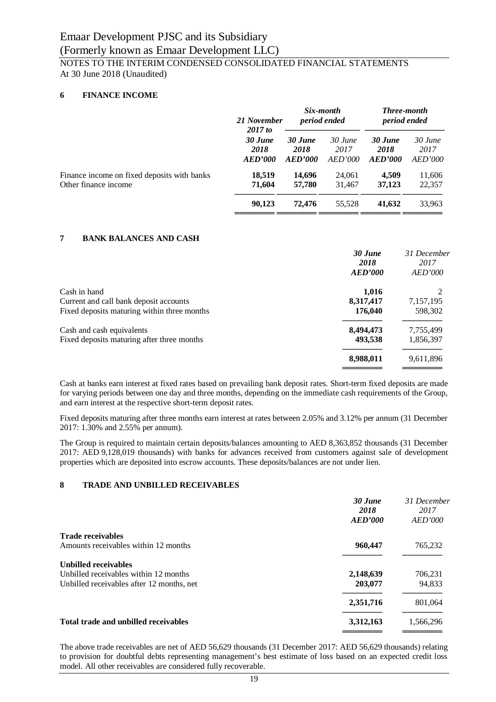## NOTES TO THE INTERIM CONDENSED CONSOLIDATED FINANCIAL STATEMENTS At 30 June 2018 (Unaudited)

## **6 FINANCE INCOME**

|                                                                     | 21 November      | Six-month             |                  | <b>Three-month</b> |                  |
|---------------------------------------------------------------------|------------------|-----------------------|------------------|--------------------|------------------|
|                                                                     | 2017 to          | period ended          |                  | period ended       |                  |
|                                                                     | 30 June          | 30 June               | 30 June          | 30 June            | $30$ June        |
|                                                                     | 2018             | 2018                  | 2017             | 2018               | 2017             |
|                                                                     | AED'000          | <i><b>AED'000</b></i> | <i>AED'000</i>   | AED'000            | AED'000          |
| Finance income on fixed deposits with banks<br>Other finance income | 18,519<br>71,604 | 14,696<br>57,780      | 24,061<br>31,467 | 4.509<br>37,123    | 11,606<br>22,357 |
|                                                                     | 90,123           | 72,476                | 55,528           | 41,632             | 33,963           |

## **7 BANK BALANCES AND CASH**

|                                             | 30 June<br>2018<br>AED'000 | 31 December<br>2017<br><b>AED'000</b> |
|---------------------------------------------|----------------------------|---------------------------------------|
| Cash in hand                                | 1,016                      | 2                                     |
| Current and call bank deposit accounts      | 8,317,417                  | 7,157,195                             |
| Fixed deposits maturing within three months | 176,040                    | 598,302                               |
| Cash and cash equivalents                   | 8,494,473                  | 7,755,499                             |
| Fixed deposits maturing after three months  | 493.538                    | 1,856,397                             |
|                                             | 8,988,011                  | 9,611,896                             |
|                                             |                            |                                       |

Cash at banks earn interest at fixed rates based on prevailing bank deposit rates. Short-term fixed deposits are made for varying periods between one day and three months, depending on the immediate cash requirements of the Group, and earn interest at the respective short-term deposit rates.

Fixed deposits maturing after three months earn interest at rates between 2.05% and 3.12% per annum (31 December 2017: 1.30% and 2.55% per annum).

The Group is required to maintain certain deposits/balances amounting to AED 8,363,852 thousands (31 December 2017: AED 9,128,019 thousands) with banks for advances received from customers against sale of development properties which are deposited into escrow accounts. These deposits/balances are not under lien.

## **8 TRADE AND UNBILLED RECEIVABLES**

|                                           | 30 June<br>2018<br>AED'000 | 31 December<br>2017<br>AED'000 |
|-------------------------------------------|----------------------------|--------------------------------|
| <b>Trade receivables</b>                  |                            |                                |
| Amounts receivables within 12 months      | 960,447                    | 765,232                        |
| <b>Unbilled receivables</b>               |                            |                                |
| Unbilled receivables within 12 months     | 2,148,639                  | 706,231                        |
| Unbilled receivables after 12 months, net | 203,077                    | 94,833                         |
|                                           | 2,351,716                  | 801,064                        |
| Total trade and unbilled receivables      | 3,312,163                  | 1,566,296                      |
|                                           |                            |                                |

The above trade receivables are net of AED 56,629 thousands (31 December 2017: AED 56,629 thousands) relating to provision for doubtful debts representing management's best estimate of loss based on an expected credit loss model. All other receivables are considered fully recoverable.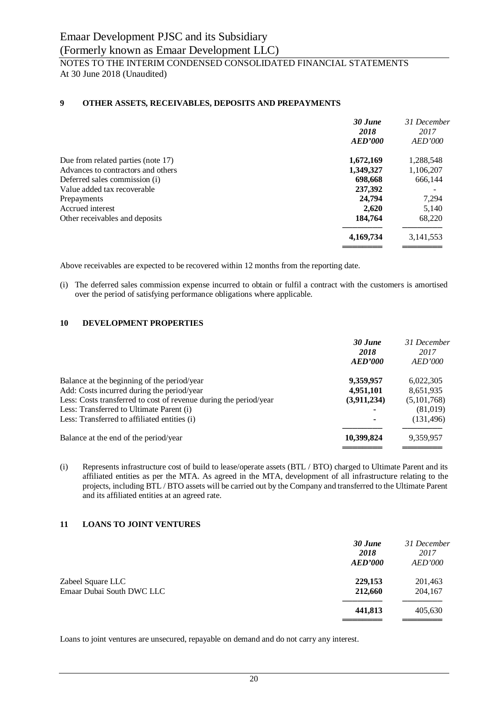## **9 OTHER ASSETS, RECEIVABLES, DEPOSITS AND PREPAYMENTS**

|                                    | 30 June<br>2018 | 31 December<br>2017 |
|------------------------------------|-----------------|---------------------|
|                                    | AED'000         | AED'000             |
| Due from related parties (note 17) | 1,672,169       | 1,288,548           |
| Advances to contractors and others | 1,349,327       | 1,106,207           |
| Deferred sales commission (i)      | 698,668         | 666.144             |
| Value added tax recoverable        | 237,392         |                     |
| Prepayments                        | 24,794          | 7,294               |
| Accrued interest                   | 2.620           | 5,140               |
| Other receivables and deposits     | 184,764         | 68.220              |
|                                    | 4,169,734       | 3,141,553           |
|                                    |                 |                     |

Above receivables are expected to be recovered within 12 months from the reporting date.

(i) The deferred sales commission expense incurred to obtain or fulfil a contract with the customers is amortised over the period of satisfying performance obligations where applicable.

## **10 DEVELOPMENT PROPERTIES**

|                                                                   | 30 June<br>2018<br><b>AED'000</b> | 31 December<br>2017<br>AED'000 |
|-------------------------------------------------------------------|-----------------------------------|--------------------------------|
| Balance at the beginning of the period/year                       | 9,359,957                         | 6,022,305                      |
| Add: Costs incurred during the period/year                        | 4,951,101                         | 8,651,935                      |
| Less: Costs transferred to cost of revenue during the period/year | (3,911,234)                       | (5,101,768)                    |
| Less: Transferred to Ultimate Parent (i)                          | ۰                                 | (81,019)                       |
| Less: Transferred to affiliated entities (i)                      | ۰                                 | (131, 496)                     |
| Balance at the end of the period/year                             | 10,399,824                        | 9,359,957                      |
|                                                                   |                                   |                                |

(i) Represents infrastructure cost of build to lease/operate assets (BTL / BTO) charged to Ultimate Parent and its affiliated entities as per the MTA. As agreed in the MTA, development of all infrastructure relating to the projects, including BTL / BTO assets will be carried out by the Company and transferred to the Ultimate Parent and its affiliated entities at an agreed rate.

## **11 LOANS TO JOINT VENTURES**

|                                                | 30 June<br>2018<br><b>AED'000</b> | 31 December<br>2017<br><i>AED'000</i> |
|------------------------------------------------|-----------------------------------|---------------------------------------|
| Zabeel Square LLC<br>Emaar Dubai South DWC LLC | 229,153<br>212,660                | 201,463<br>204,167                    |
|                                                | 441,813                           | 405,630                               |

Loans to joint ventures are unsecured, repayable on demand and do not carry any interest.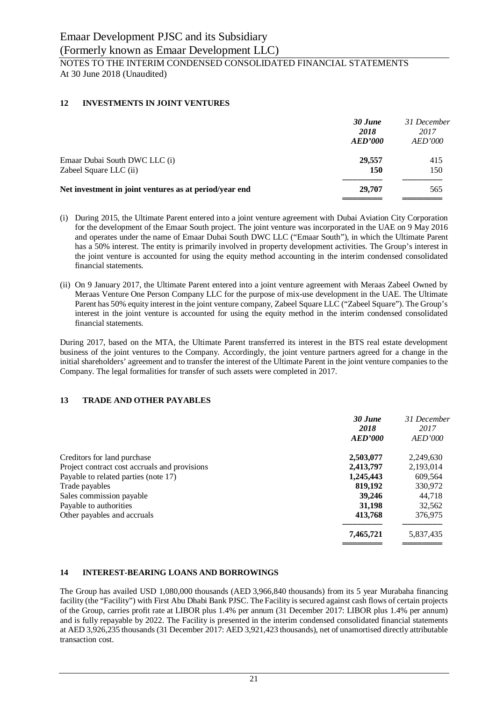## **12 INVESTMENTS IN JOINT VENTURES**

|                                                        | 30 June<br>2018<br><b>AED'000</b> | 31 December<br>2017<br><i>AED'000</i> |
|--------------------------------------------------------|-----------------------------------|---------------------------------------|
| Emaar Dubai South DWC LLC (i)                          | 29,557                            | 415                                   |
| Zabeel Square LLC (ii)                                 | <b>150</b>                        | 150                                   |
| Net investment in joint ventures as at period/year end | 29,707                            | 565                                   |
|                                                        |                                   |                                       |

- (i) During 2015, the Ultimate Parent entered into a joint venture agreement with Dubai Aviation City Corporation for the development of the Emaar South project. The joint venture was incorporated in the UAE on 9 May 2016 and operates under the name of Emaar Dubai South DWC LLC ("Emaar South"), in which the Ultimate Parent has a 50% interest. The entity is primarily involved in property development activities. The Group's interest in the joint venture is accounted for using the equity method accounting in the interim condensed consolidated financial statements.
- (ii) On 9 January 2017, the Ultimate Parent entered into a joint venture agreement with Meraas Zabeel Owned by Meraas Venture One Person Company LLC for the purpose of mix-use development in the UAE. The Ultimate Parent has 50% equity interest in the joint venture company, Zabeel Square LLC ("Zabeel Square"). The Group's interest in the joint venture is accounted for using the equity method in the interim condensed consolidated financial statements.

During 2017, based on the MTA, the Ultimate Parent transferred its interest in the BTS real estate development business of the joint ventures to the Company. Accordingly, the joint venture partners agreed for a change in the initial shareholders' agreement and to transfer the interest of the Ultimate Parent in the joint venture companies to the Company. The legal formalities for transfer of such assets were completed in 2017.

## **13 TRADE AND OTHER PAYABLES**

|                                               | 30 June<br>2018<br><b>AED'000</b> | 31 December<br>2017<br>AED'000 |
|-----------------------------------------------|-----------------------------------|--------------------------------|
| Creditors for land purchase                   | 2,503,077                         | 2,249,630                      |
| Project contract cost accruals and provisions | 2,413,797                         | 2,193,014                      |
| Payable to related parties (note 17)          | 1,245,443                         | 609,564                        |
| Trade payables                                | 819,192                           | 330.972                        |
| Sales commission payable                      | 39,246                            | 44.718                         |
| Payable to authorities                        | 31,198                            | 32,562                         |
| Other payables and accruals                   | 413.768                           | 376,975                        |
|                                               | 7,465,721                         | 5,837,435                      |
|                                               |                                   |                                |

#### **14 INTEREST-BEARING LOANS AND BORROWINGS**

The Group has availed USD 1,080,000 thousands (AED 3,966,840 thousands) from its 5 year Murabaha financing facility (the "Facility") with First Abu Dhabi Bank PJSC. The Facility is secured against cash flows of certain projects of the Group, carries profit rate at LIBOR plus 1.4% per annum (31 December 2017: LIBOR plus 1.4% per annum) and is fully repayable by 2022. The Facility is presented in the interim condensed consolidated financial statements at AED 3,926,235 thousands (31 December 2017: AED 3,921,423 thousands), net of unamortised directly attributable transaction cost.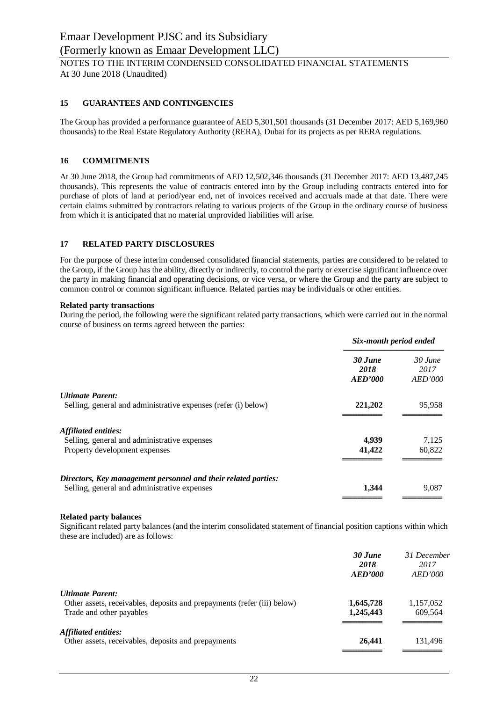## **15 GUARANTEES AND CONTINGENCIES**

The Group has provided a performance guarantee of AED 5,301,501 thousands (31 December 2017: AED 5,169,960 thousands) to the Real Estate Regulatory Authority (RERA), Dubai for its projects as per RERA regulations.

## **16 COMMITMENTS**

At 30 June 2018, the Group had commitments of AED 12,502,346 thousands (31 December 2017: AED 13,487,245 thousands). This represents the value of contracts entered into by the Group including contracts entered into for purchase of plots of land at period/year end, net of invoices received and accruals made at that date. There were certain claims submitted by contractors relating to various projects of the Group in the ordinary course of business from which it is anticipated that no material unprovided liabilities will arise.

## **17 RELATED PARTY DISCLOSURES**

For the purpose of these interim condensed consolidated financial statements, parties are considered to be related to the Group, if the Group has the ability, directly or indirectly, to control the party or exercise significant influence over the party in making financial and operating decisions, or vice versa, or where the Group and the party are subject to common control or common significant influence. Related parties may be individuals or other entities.

#### **Related party transactions**

During the period, the following were the significant related party transactions, which were carried out in the normal course of business on terms agreed between the parties:

|                                                                | Six-month period ended            |                              |
|----------------------------------------------------------------|-----------------------------------|------------------------------|
|                                                                | 30 June<br>2018<br><b>AED'000</b> | $30$ June<br>2017<br>AED'000 |
| <b><i>Ultimate Parent:</i></b>                                 |                                   |                              |
| Selling, general and administrative expenses (refer (i) below) | 221,202                           | 95,958                       |
| Affiliated entities:                                           |                                   |                              |
| Selling, general and administrative expenses                   | 4,939                             | 7,125                        |
| Property development expenses                                  | 41,422                            | 60,822                       |
| Directors, Key management personnel and their related parties: |                                   |                              |
| Selling, general and administrative expenses                   | 1,344                             | 9,087                        |
|                                                                |                                   |                              |

#### **Related party balances**

Significant related party balances (and the interim consolidated statement of financial position captions within which these are included) are as follows:

|                                                                         | 30 June<br>2018<br>AED'000 | 31 December<br>2017<br>AED'000 |
|-------------------------------------------------------------------------|----------------------------|--------------------------------|
| <b><i>Ultimate Parent:</i></b>                                          |                            |                                |
| Other assets, receivables, deposits and prepayments (refer (iii) below) | 1,645,728                  | 1,157,052                      |
| Trade and other payables                                                | 1,245,443                  | 609,564                        |
| <b>Affiliated entities:</b>                                             |                            |                                |
| Other assets, receivables, deposits and prepayments                     | 26,441                     | 131.496                        |
|                                                                         |                            |                                |